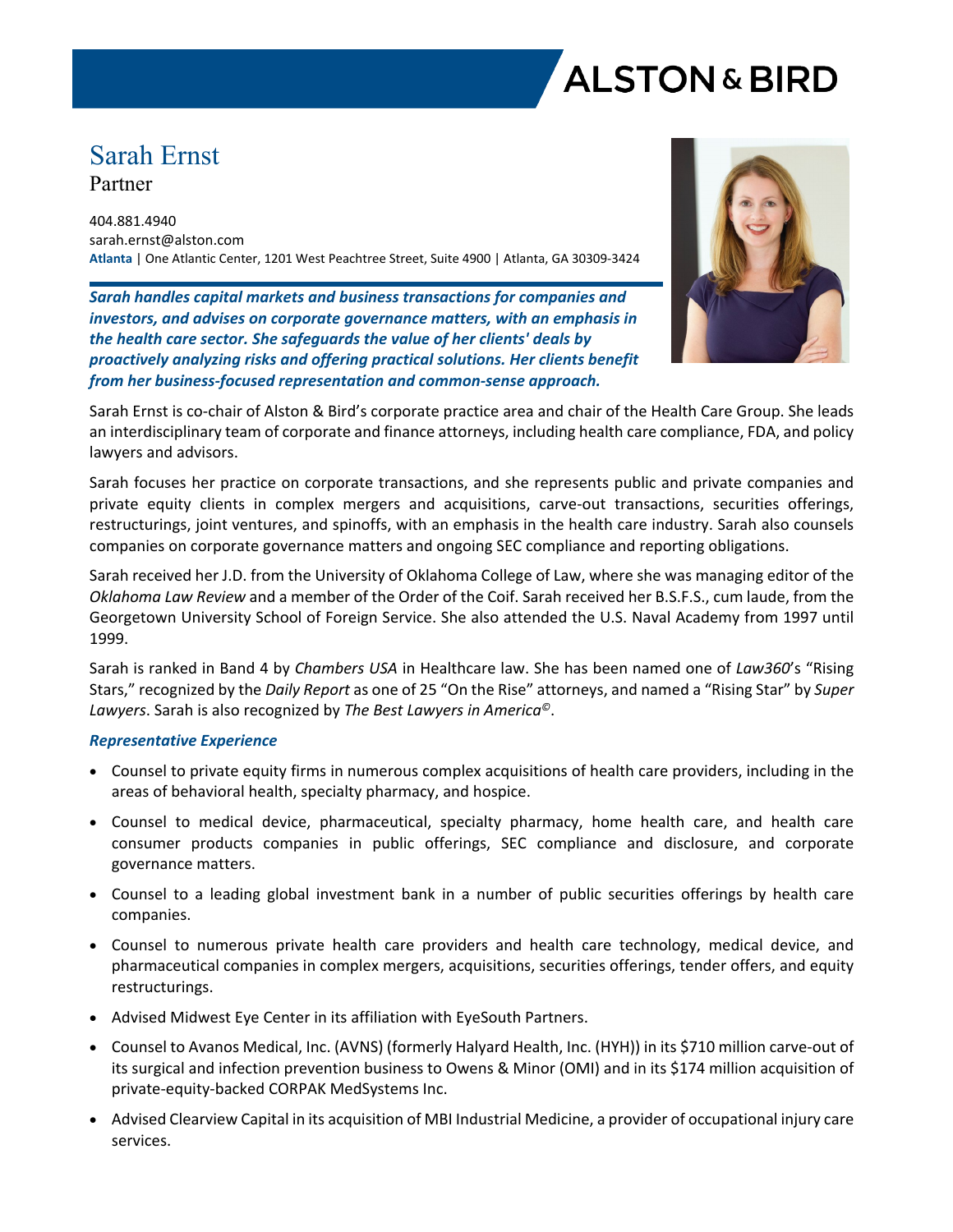

# Sarah Ernst Partner

404.881.4940 sarah.ernst@alston.com **Atlanta** | One Atlantic Center, 1201 West Peachtree Street, Suite 4900 | Atlanta, GA 30309-3424

*Sarah handles capital markets and business transactions for companies and investors, and advises on corporate governance matters, with an emphasis in the health care sector. She safeguards the value of her clients' deals by proactively analyzing risks and offering practical solutions. Her clients benefit from her business-focused representation and common-sense approach.*



Sarah Ernst is co-chair of Alston & Bird's corporate practice area and chair of the Health Care Group. She leads an interdisciplinary team of corporate and finance attorneys, including health care compliance, FDA, and policy lawyers and advisors.

Sarah focuses her practice on corporate transactions, and she represents public and private companies and private equity clients in complex mergers and acquisitions, carve-out transactions, securities offerings, restructurings, joint ventures, and spinoffs, with an emphasis in the health care industry. Sarah also counsels companies on corporate governance matters and ongoing SEC compliance and reporting obligations.

Sarah received her J.D. from the University of Oklahoma College of Law, where she was managing editor of the *Oklahoma Law Review* and a member of the Order of the Coif. Sarah received her B.S.F.S., cum laude, from the Georgetown University School of Foreign Service. She also attended the U.S. Naval Academy from 1997 until 1999.

Sarah is ranked in Band 4 by *Chambers USA* in Healthcare law. She has been named one of *Law360*'s "Rising Stars," recognized by the *Daily Report* as one of 25 "On the Rise" attorneys, and named a "Rising Star" by *Super Lawyers*. Sarah is also recognized by *The Best Lawyers in America©*.

## *Representative Experience*

- Counsel to private equity firms in numerous complex acquisitions of health care providers, including in the areas of behavioral health, specialty pharmacy, and hospice.
- Counsel to medical device, pharmaceutical, specialty pharmacy, home health care, and health care consumer products companies in public offerings, SEC compliance and disclosure, and corporate governance matters.
- Counsel to a leading global investment bank in a number of public securities offerings by health care companies.
- Counsel to numerous private health care providers and health care technology, medical device, and pharmaceutical companies in complex mergers, acquisitions, securities offerings, tender offers, and equity restructurings.
- Advised Midwest Eye Center in its affiliation with EyeSouth Partners.
- Counsel to Avanos Medical, Inc. (AVNS) (formerly Halyard Health, Inc. (HYH)) in its \$710 million carve-out of its surgical and infection prevention business to Owens & Minor (OMI) and in its \$174 million acquisition of private-equity-backed CORPAK MedSystems Inc.
- Advised Clearview Capital in its acquisition of MBI Industrial Medicine, a provider of occupational injury care services.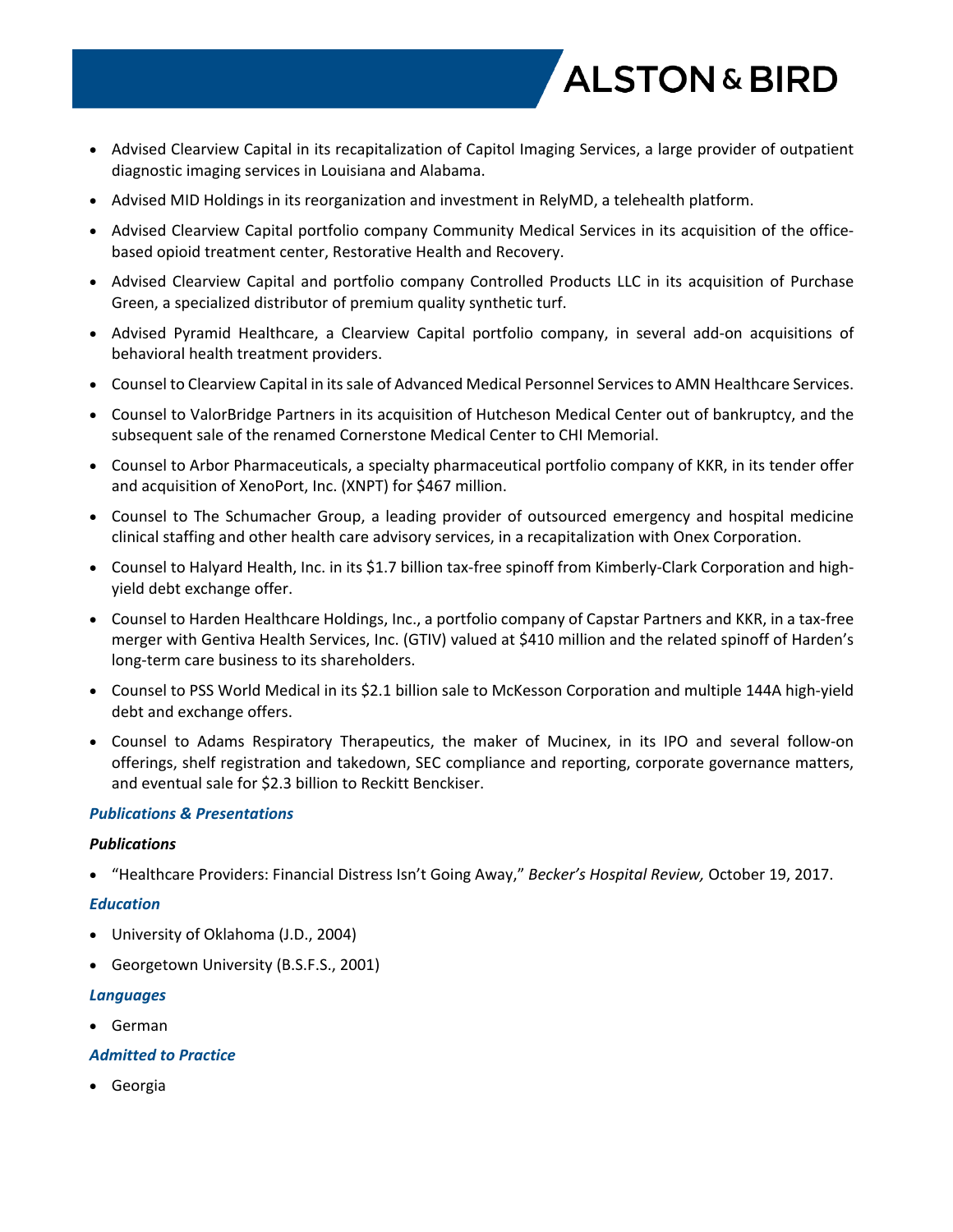

- Advised Clearview Capital in its recapitalization of Capitol Imaging Services, a large provider of outpatient diagnostic imaging services in Louisiana and Alabama.
- Advised MID Holdings in its reorganization and investment in RelyMD, a telehealth platform.
- Advised Clearview Capital portfolio company Community Medical Services in its acquisition of the officebased opioid treatment center, Restorative Health and Recovery.
- Advised Clearview Capital and portfolio company Controlled Products LLC in its acquisition of Purchase Green, a specialized distributor of premium quality synthetic turf.
- Advised Pyramid Healthcare, a Clearview Capital portfolio company, in several add-on acquisitions of behavioral health treatment providers.
- Counsel to Clearview Capital in its sale of Advanced Medical Personnel Services to AMN Healthcare Services.
- Counsel to ValorBridge Partners in its acquisition of Hutcheson Medical Center out of bankruptcy, and the subsequent sale of the renamed Cornerstone Medical Center to CHI Memorial.
- Counsel to Arbor Pharmaceuticals, a specialty pharmaceutical portfolio company of KKR, in its tender offer and acquisition of XenoPort, Inc. (XNPT) for \$467 million.
- Counsel to The Schumacher Group, a leading provider of outsourced emergency and hospital medicine clinical staffing and other health care advisory services, in a recapitalization with Onex Corporation.
- Counsel to Halyard Health, Inc. in its \$1.7 billion tax-free spinoff from Kimberly-Clark Corporation and highyield debt exchange offer.
- Counsel to Harden Healthcare Holdings, Inc., a portfolio company of Capstar Partners and KKR, in a tax-free merger with Gentiva Health Services, Inc. (GTIV) valued at \$410 million and the related spinoff of Harden's long-term care business to its shareholders.
- Counsel to PSS World Medical in its \$2.1 billion sale to McKesson Corporation and multiple 144A high-yield debt and exchange offers.
- Counsel to Adams Respiratory Therapeutics, the maker of Mucinex, in its IPO and several follow-on offerings, shelf registration and takedown, SEC compliance and reporting, corporate governance matters, and eventual sale for \$2.3 billion to Reckitt Benckiser.

## *Publications & Presentations*

#### *Publications*

"Healthcare Providers: Financial Distress Isn't Going Away," *Becker's Hospital Review,* October 19, 2017.

#### *Education*

- University of Oklahoma (J.D., 2004)
- Georgetown University (B.S.F.S., 2001)

#### *Languages*

German

#### *Admitted to Practice*

Georgia